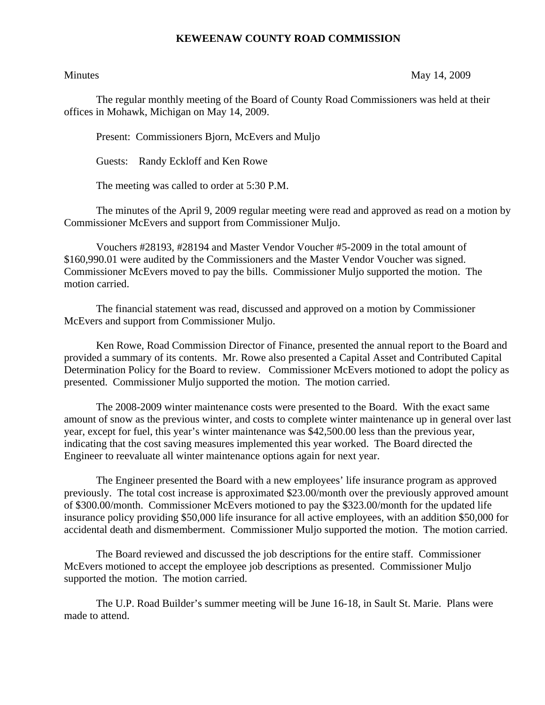## **KEWEENAW COUNTY ROAD COMMISSION**

Minutes May 14, 2009

The regular monthly meeting of the Board of County Road Commissioners was held at their offices in Mohawk, Michigan on May 14, 2009.

Present: Commissioners Bjorn, McEvers and Muljo

Guests: Randy Eckloff and Ken Rowe

The meeting was called to order at 5:30 P.M.

 The minutes of the April 9, 2009 regular meeting were read and approved as read on a motion by Commissioner McEvers and support from Commissioner Muljo.

 Vouchers #28193, #28194 and Master Vendor Voucher #5-2009 in the total amount of \$160,990.01 were audited by the Commissioners and the Master Vendor Voucher was signed. Commissioner McEvers moved to pay the bills. Commissioner Muljo supported the motion. The motion carried.

 The financial statement was read, discussed and approved on a motion by Commissioner McEvers and support from Commissioner Muljo.

 Ken Rowe, Road Commission Director of Finance, presented the annual report to the Board and provided a summary of its contents. Mr. Rowe also presented a Capital Asset and Contributed Capital Determination Policy for the Board to review. Commissioner McEvers motioned to adopt the policy as presented. Commissioner Muljo supported the motion. The motion carried.

 The 2008-2009 winter maintenance costs were presented to the Board. With the exact same amount of snow as the previous winter, and costs to complete winter maintenance up in general over last year, except for fuel, this year's winter maintenance was \$42,500.00 less than the previous year, indicating that the cost saving measures implemented this year worked. The Board directed the Engineer to reevaluate all winter maintenance options again for next year.

 The Engineer presented the Board with a new employees' life insurance program as approved previously. The total cost increase is approximated \$23.00/month over the previously approved amount of \$300.00/month. Commissioner McEvers motioned to pay the \$323.00/month for the updated life insurance policy providing \$50,000 life insurance for all active employees, with an addition \$50,000 for accidental death and dismemberment. Commissioner Muljo supported the motion. The motion carried.

 The Board reviewed and discussed the job descriptions for the entire staff. Commissioner McEvers motioned to accept the employee job descriptions as presented. Commissioner Muljo supported the motion. The motion carried.

 The U.P. Road Builder's summer meeting will be June 16-18, in Sault St. Marie. Plans were made to attend.